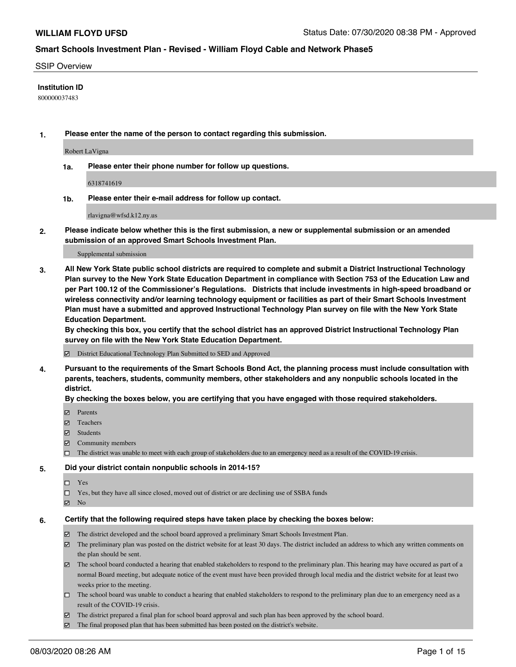#### SSIP Overview

#### **Institution ID**

800000037483

**1. Please enter the name of the person to contact regarding this submission.**

Robert LaVigna

**1a. Please enter their phone number for follow up questions.**

6318741619

**1b. Please enter their e-mail address for follow up contact.**

rlavigna@wfsd.k12.ny.us

**2. Please indicate below whether this is the first submission, a new or supplemental submission or an amended submission of an approved Smart Schools Investment Plan.**

#### Supplemental submission

**3. All New York State public school districts are required to complete and submit a District Instructional Technology Plan survey to the New York State Education Department in compliance with Section 753 of the Education Law and per Part 100.12 of the Commissioner's Regulations. Districts that include investments in high-speed broadband or wireless connectivity and/or learning technology equipment or facilities as part of their Smart Schools Investment Plan must have a submitted and approved Instructional Technology Plan survey on file with the New York State Education Department.** 

**By checking this box, you certify that the school district has an approved District Instructional Technology Plan survey on file with the New York State Education Department.**

District Educational Technology Plan Submitted to SED and Approved

**4. Pursuant to the requirements of the Smart Schools Bond Act, the planning process must include consultation with parents, teachers, students, community members, other stakeholders and any nonpublic schools located in the district.** 

#### **By checking the boxes below, you are certifying that you have engaged with those required stakeholders.**

- **Ø** Parents
- Teachers
- Students
- $\boxtimes$  Community members
- The district was unable to meet with each group of stakeholders due to an emergency need as a result of the COVID-19 crisis.

#### **5. Did your district contain nonpublic schools in 2014-15?**

- $\neg$  Yes
- □ Yes, but they have all since closed, moved out of district or are declining use of SSBA funds
- **☑** No

#### **6. Certify that the following required steps have taken place by checking the boxes below:**

- The district developed and the school board approved a preliminary Smart Schools Investment Plan.
- $\boxtimes$  The preliminary plan was posted on the district website for at least 30 days. The district included an address to which any written comments on the plan should be sent.
- $\boxtimes$  The school board conducted a hearing that enabled stakeholders to respond to the preliminary plan. This hearing may have occured as part of a normal Board meeting, but adequate notice of the event must have been provided through local media and the district website for at least two weeks prior to the meeting.
- The school board was unable to conduct a hearing that enabled stakeholders to respond to the preliminary plan due to an emergency need as a result of the COVID-19 crisis.
- The district prepared a final plan for school board approval and such plan has been approved by the school board.
- $\boxtimes$  The final proposed plan that has been submitted has been posted on the district's website.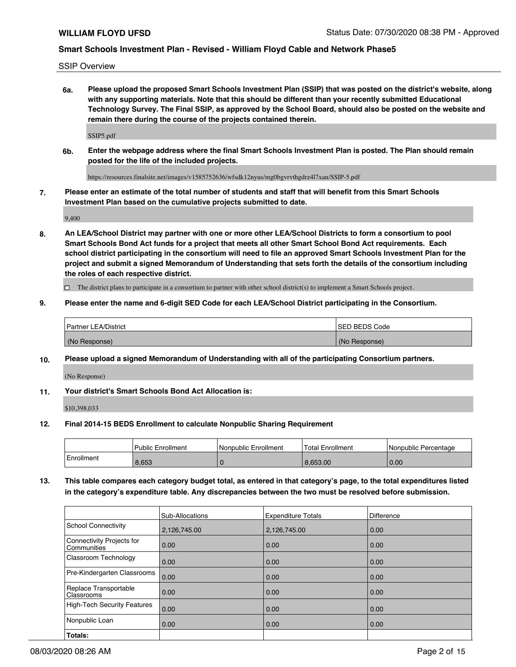SSIP Overview

**6a. Please upload the proposed Smart Schools Investment Plan (SSIP) that was posted on the district's website, along with any supporting materials. Note that this should be different than your recently submitted Educational Technology Survey. The Final SSIP, as approved by the School Board, should also be posted on the website and remain there during the course of the projects contained therein.**

SSIP5.pdf

**6b. Enter the webpage address where the final Smart Schools Investment Plan is posted. The Plan should remain posted for the life of the included projects.**

https://resources.finalsite.net/images/v1585752636/wfsdk12nyus/mg0bgvrvthgdrz4l7xan/SSIP-5.pdf

**7. Please enter an estimate of the total number of students and staff that will benefit from this Smart Schools Investment Plan based on the cumulative projects submitted to date.**

9,400

**8. An LEA/School District may partner with one or more other LEA/School Districts to form a consortium to pool Smart Schools Bond Act funds for a project that meets all other Smart School Bond Act requirements. Each school district participating in the consortium will need to file an approved Smart Schools Investment Plan for the project and submit a signed Memorandum of Understanding that sets forth the details of the consortium including the roles of each respective district.**

 $\Box$  The district plans to participate in a consortium to partner with other school district(s) to implement a Smart Schools project.

#### **9. Please enter the name and 6-digit SED Code for each LEA/School District participating in the Consortium.**

| Partner LEA/District | <b>ISED BEDS Code</b> |
|----------------------|-----------------------|
| (No Response)        | (No Response)         |

#### **10. Please upload a signed Memorandum of Understanding with all of the participating Consortium partners.**

(No Response)

#### **11. Your district's Smart Schools Bond Act Allocation is:**

\$10,398,033

#### **12. Final 2014-15 BEDS Enrollment to calculate Nonpublic Sharing Requirement**

|            | <b>Public Enrollment</b> | Nonpublic Enrollment | <b>Total Enrollment</b> | l Nonpublic Percentage |
|------------|--------------------------|----------------------|-------------------------|------------------------|
| Enrollment | 8.653                    |                      | 8.653.00                | 0.00                   |

**13. This table compares each category budget total, as entered in that category's page, to the total expenditures listed in the category's expenditure table. Any discrepancies between the two must be resolved before submission.**

|                                          | Sub-Allocations | <b>Expenditure Totals</b> | Difference |
|------------------------------------------|-----------------|---------------------------|------------|
| <b>School Connectivity</b>               | 2,126,745.00    | 2,126,745.00              | 0.00       |
| Connectivity Projects for<br>Communities | 0.00            | 0.00                      | 0.00       |
| Classroom Technology                     | 0.00            | 0.00                      | 0.00       |
| Pre-Kindergarten Classrooms              | 0.00            | 0.00                      | 0.00       |
| Replace Transportable<br>Classrooms      | 0.00            | 0.00                      | 0.00       |
| <b>High-Tech Security Features</b>       | 0.00            | 0.00                      | 0.00       |
| Nonpublic Loan                           | 0.00            | 0.00                      | 0.00       |
| Totals:                                  |                 |                           |            |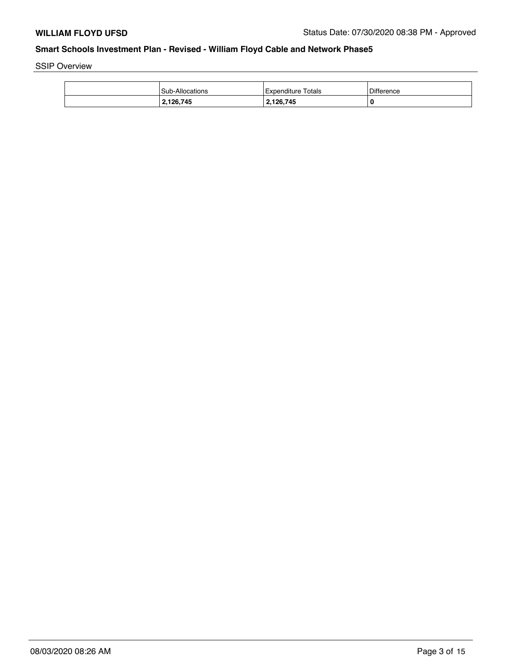SSIP Overview

| <b>Sub-Allocations</b> | Expenditure Totals | Difference |
|------------------------|--------------------|------------|
| 2,126,745              | 2,126,745          | 0          |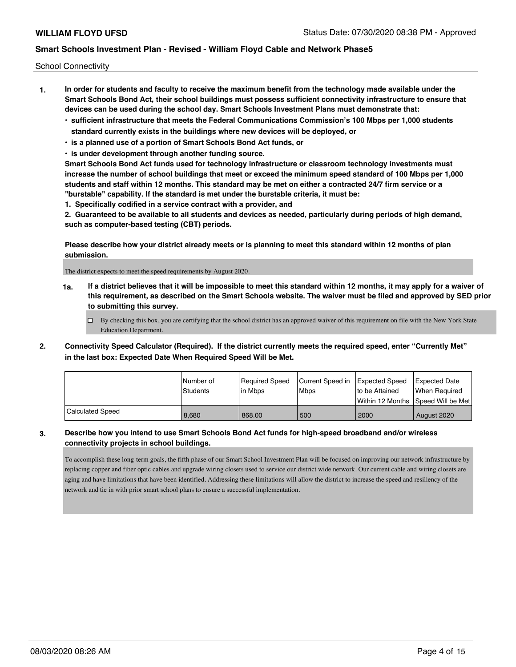School Connectivity

- **1. In order for students and faculty to receive the maximum benefit from the technology made available under the Smart Schools Bond Act, their school buildings must possess sufficient connectivity infrastructure to ensure that devices can be used during the school day. Smart Schools Investment Plans must demonstrate that:**
	- **• sufficient infrastructure that meets the Federal Communications Commission's 100 Mbps per 1,000 students standard currently exists in the buildings where new devices will be deployed, or**
	- **• is a planned use of a portion of Smart Schools Bond Act funds, or**
	- **• is under development through another funding source.**

**Smart Schools Bond Act funds used for technology infrastructure or classroom technology investments must increase the number of school buildings that meet or exceed the minimum speed standard of 100 Mbps per 1,000 students and staff within 12 months. This standard may be met on either a contracted 24/7 firm service or a "burstable" capability. If the standard is met under the burstable criteria, it must be:**

**1. Specifically codified in a service contract with a provider, and**

**2. Guaranteed to be available to all students and devices as needed, particularly during periods of high demand, such as computer-based testing (CBT) periods.**

**Please describe how your district already meets or is planning to meet this standard within 12 months of plan submission.**

The district expects to meet the speed requirements by August 2020.

**1a. If a district believes that it will be impossible to meet this standard within 12 months, it may apply for a waiver of this requirement, as described on the Smart Schools website. The waiver must be filed and approved by SED prior to submitting this survey.**

 $\Box$  By checking this box, you are certifying that the school district has an approved waiver of this requirement on file with the New York State Education Department.

**2. Connectivity Speed Calculator (Required). If the district currently meets the required speed, enter "Currently Met" in the last box: Expected Date When Required Speed Will be Met.**

|                  | l Number of<br>Students | Required Speed<br>l in Mbps | Current Speed in<br>Mbps | Expected Speed<br>to be Attained | <b>Expected Date</b><br>When Required |
|------------------|-------------------------|-----------------------------|--------------------------|----------------------------------|---------------------------------------|
|                  |                         |                             |                          |                                  | Within 12 Months 1Speed Will be Met   |
| Calculated Speed | 8.680                   | 868.00                      | 500                      | 2000                             | August 2020                           |

#### **3. Describe how you intend to use Smart Schools Bond Act funds for high-speed broadband and/or wireless connectivity projects in school buildings.**

To accomplish these long-term goals, the fifth phase of our Smart School Investment Plan will be focused on improving our network infrastructure by replacing copper and fiber optic cables and upgrade wiring closets used to service our district wide network. Our current cable and wiring closets are aging and have limitations that have been identified. Addressing these limitations will allow the district to increase the speed and resiliency of the network and tie in with prior smart school plans to ensure a successful implementation.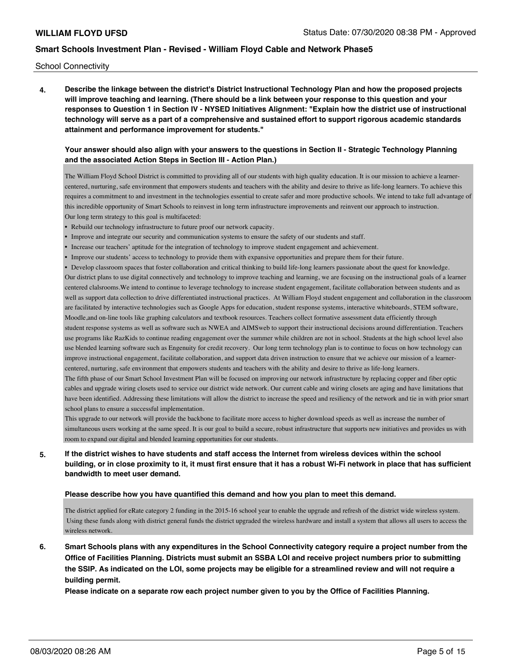School Connectivity

**4. Describe the linkage between the district's District Instructional Technology Plan and how the proposed projects will improve teaching and learning. (There should be a link between your response to this question and your responses to Question 1 in Section IV - NYSED Initiatives Alignment: "Explain how the district use of instructional technology will serve as a part of a comprehensive and sustained effort to support rigorous academic standards attainment and performance improvement for students."** 

#### **Your answer should also align with your answers to the questions in Section II - Strategic Technology Planning and the associated Action Steps in Section III - Action Plan.)**

The William Floyd School District is committed to providing all of our students with high quality education. It is our mission to achieve a learnercentered, nurturing, safe environment that empowers students and teachers with the ability and desire to thrive as life-long learners. To achieve this requires a commitment to and investment in the technologies essential to create safer and more productive schools. We intend to take full advantage of this incredible opportunity of Smart Schools to reinvest in long term infrastructure improvements and reinvent our approach to instruction. Our long term strategy to this goal is multifaceted:

- Rebuild our technology infrastructure to future proof our network capacity.
- Improve and integrate our security and communication systems to ensure the safety of our students and staff.
- Increase our teachers' aptitude for the integration of technology to improve student engagement and achievement.
- Improve our students' access to technology to provide them with expansive opportunities and prepare them for their future.

• Develop classroom spaces that foster collaboration and critical thinking to build life-long learners passionate about the quest for knowledge. Our district plans to use digital connectively and technology to improve teaching and learning, we are focusing on the instructional goals of a learner centered clalsrooms.We intend to continue to leverage technology to increase student engagement, facilitate collaboration between students and as well as support data collection to drive differentiated instructional practices. At William Floyd student engagement and collaboration in the classroom are facilitated by interactive technologies such as Google Apps for education, student response systems, interactive whiteboards, STEM software, Moodle,and on-line tools like graphing calculators and textbook resources. Teachers collect formative assessment data efficiently through student response systems as well as software such as NWEA and AIMSweb to support their instructional decisions around differentiation. Teachers use programs like RazKids to continue reading engagement over the summer while children are not in school. Students at the high school level also use blended learning software such as Engenuity for credit recovery. Our long term technology plan is to continue to focus on how technology can improve instructional engagement, facilitate collaboration, and support data driven instruction to ensure that we achieve our mission of a learnercentered, nurturing, safe environment that empowers students and teachers with the ability and desire to thrive as life-long learners. The fifth phase of our Smart School Investment Plan will be focused on improving our network infrastructure by replacing copper and fiber optic

cables and upgrade wiring closets used to service our district wide network. Our current cable and wiring closets are aging and have limitations that have been identified. Addressing these limitations will allow the district to increase the speed and resiliency of the network and tie in with prior smart school plans to ensure a successful implementation.

This upgrade to our network will provide the backbone to facilitate more access to higher download speeds as well as increase the number of simultaneous users working at the same speed. It is our goal to build a secure, robust infrastructure that supports new initiatives and provides us with room to expand our digital and blended learning opportunities for our students.

## **5. If the district wishes to have students and staff access the Internet from wireless devices within the school building, or in close proximity to it, it must first ensure that it has a robust Wi-Fi network in place that has sufficient bandwidth to meet user demand.**

#### **Please describe how you have quantified this demand and how you plan to meet this demand.**

The district applied for eRate category 2 funding in the 2015-16 school year to enable the upgrade and refresh of the district wide wireless system. Using these funds along with district general funds the district upgraded the wireless hardware and install a system that allows all users to access the wireless network.

**6. Smart Schools plans with any expenditures in the School Connectivity category require a project number from the Office of Facilities Planning. Districts must submit an SSBA LOI and receive project numbers prior to submitting the SSIP. As indicated on the LOI, some projects may be eligible for a streamlined review and will not require a building permit.**

**Please indicate on a separate row each project number given to you by the Office of Facilities Planning.**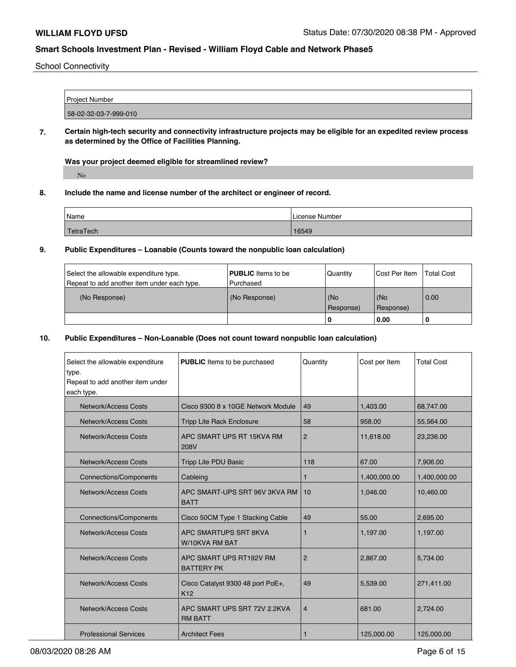#### School Connectivity

| Project Number        |  |
|-----------------------|--|
|                       |  |
| 58-02-32-03-7-999-010 |  |
|                       |  |

**7. Certain high-tech security and connectivity infrastructure projects may be eligible for an expedited review process as determined by the Office of Facilities Planning.**

#### **Was your project deemed eligible for streamlined review?**

No

#### **8. Include the name and license number of the architect or engineer of record.**

| Name             | License Number |
|------------------|----------------|
| <b>TetraTech</b> | 16549          |

## **9. Public Expenditures – Loanable (Counts toward the nonpublic loan calculation)**

| Select the allowable expenditure type.      | <b>PUBLIC</b> Items to be  | Quantity  | Cost Per Item    | <b>Total Cost</b> |
|---------------------------------------------|----------------------------|-----------|------------------|-------------------|
| Repeat to add another item under each type. | Purchased<br>(No Response) | (No       |                  | 0.00              |
| (No Response)                               |                            | Response) | (No<br>Response) |                   |
|                                             |                            | ' O       | 0.00             |                   |

#### **10. Public Expenditures – Non-Loanable (Does not count toward nonpublic loan calculation)**

| Select the allowable expenditure<br>type.<br>Repeat to add another item under<br>each type. | <b>PUBLIC</b> Items to be purchased                  | Quantity       | Cost per Item | <b>Total Cost</b> |
|---------------------------------------------------------------------------------------------|------------------------------------------------------|----------------|---------------|-------------------|
| Network/Access Costs                                                                        | Cisco 9300 8 x 10GE Network Module                   | 49             | 1,403.00      | 68,747.00         |
| Network/Access Costs                                                                        | <b>Tripp Lite Rack Enclosure</b>                     | 58             | 958.00        | 55,564.00         |
| Network/Access Costs                                                                        | APC SMART UPS RT 15KVA RM<br>208V                    | $\overline{2}$ | 11,618.00     | 23,236.00         |
| <b>Network/Access Costs</b>                                                                 | <b>Tripp Lite PDU Basic</b>                          | 118            | 67.00         | 7,906.00          |
| <b>Connections/Components</b>                                                               | Cableing                                             |                | 1,400,000.00  | 1,400,000.00      |
| Network/Access Costs                                                                        | APC SMART-UPS SRT 96V 3KVA RM<br><b>BATT</b>         | 10             | 1,046.00      | 10,460.00         |
| <b>Connections/Components</b>                                                               | Cisco 50CM Type 1 Stacking Cable                     | 49             | 55.00         | 2,695.00          |
| <b>Network/Access Costs</b>                                                                 | APC SMARTUPS SRT 8KVA<br>W/10KVA RM BAT              | 1              | 1,197.00      | 1,197.00          |
| Network/Access Costs                                                                        | APC SMART UPS RT192V RM<br><b>BATTERY PK</b>         | $\overline{2}$ | 2,867.00      | 5,734.00          |
| <b>Network/Access Costs</b>                                                                 | Cisco Catalyst 9300 48 port PoE+,<br>K <sub>12</sub> | 49             | 5,539.00      | 271,411.00        |
| Network/Access Costs                                                                        | APC SMART UPS SRT 72V 2.2KVA<br><b>RM BATT</b>       | $\overline{4}$ | 681.00        | 2,724.00          |
| <b>Professional Services</b>                                                                | <b>Architect Fees</b>                                | 1              | 125,000.00    | 125,000.00        |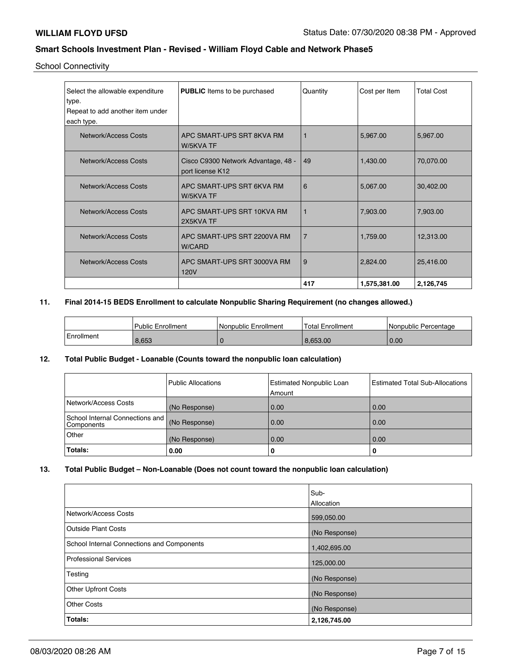School Connectivity

| Select the allowable expenditure | <b>PUBLIC</b> Items to be purchased                     | Quantity       | Cost per Item | <b>Total Cost</b> |
|----------------------------------|---------------------------------------------------------|----------------|---------------|-------------------|
| type.                            |                                                         |                |               |                   |
| Repeat to add another item under |                                                         |                |               |                   |
| each type.                       |                                                         |                |               |                   |
| Network/Access Costs             | APC SMART-UPS SRT 8KVA RM<br>W/5KVA TF                  |                | 5,967.00      | 5,967.00          |
| <b>Network/Access Costs</b>      | Cisco C9300 Network Advantage, 48 -<br>port license K12 | 49             | 1,430.00      | 70,070.00         |
| Network/Access Costs             | APC SMART-UPS SRT 6KVA RM<br>W/5KVA TF                  | 6              | 5,067.00      | 30,402.00         |
| Network/Access Costs             | APC SMART-UPS SRT 10KVA RM<br>2X5KVA TF                 | 1              | 7,903.00      | 7,903.00          |
| Network/Access Costs             | APC SMART-UPS SRT 2200VA RM<br><b>W/CARD</b>            | $\overline{7}$ | 1,759.00      | 12,313.00         |
| Network/Access Costs             | APC SMART-UPS SRT 3000VA RM<br>120V                     | 9              | 2,824.00      | 25,416.00         |
|                                  |                                                         | 417            | 1,575,381.00  | 2,126,745         |

## **11. Final 2014-15 BEDS Enrollment to calculate Nonpublic Sharing Requirement (no changes allowed.)**

|            | Public Enrollment | Nonpublic Enrollment | <b>Total Enrollment</b> | l Nonpublic Percentage |
|------------|-------------------|----------------------|-------------------------|------------------------|
| Enrollment | 8,653             |                      | 8.653.00                | 0.00                   |

#### **12. Total Public Budget - Loanable (Counts toward the nonpublic loan calculation)**

|                                               | l Public Allocations | <b>Estimated Nonpublic Loan</b><br>Amount | <b>Estimated Total Sub-Allocations</b> |
|-----------------------------------------------|----------------------|-------------------------------------------|----------------------------------------|
| Network/Access Costs                          | (No Response)        | 0.00                                      | 0.00                                   |
| School Internal Connections and<br>Components | (No Response)        | 0.00                                      | 0.00                                   |
| Other                                         | (No Response)        | 0.00                                      | 0.00                                   |
| Totals:                                       | 0.00                 | 0                                         | 0                                      |

#### **13. Total Public Budget – Non-Loanable (Does not count toward the nonpublic loan calculation)**

|                                            | Sub-          |
|--------------------------------------------|---------------|
|                                            | Allocation    |
| Network/Access Costs                       | 599,050.00    |
| Outside Plant Costs                        | (No Response) |
| School Internal Connections and Components | 1,402,695.00  |
| <b>Professional Services</b>               | 125,000.00    |
| Testing                                    | (No Response) |
| <b>Other Upfront Costs</b>                 | (No Response) |
| <b>Other Costs</b>                         | (No Response) |
| Totals:                                    | 2,126,745.00  |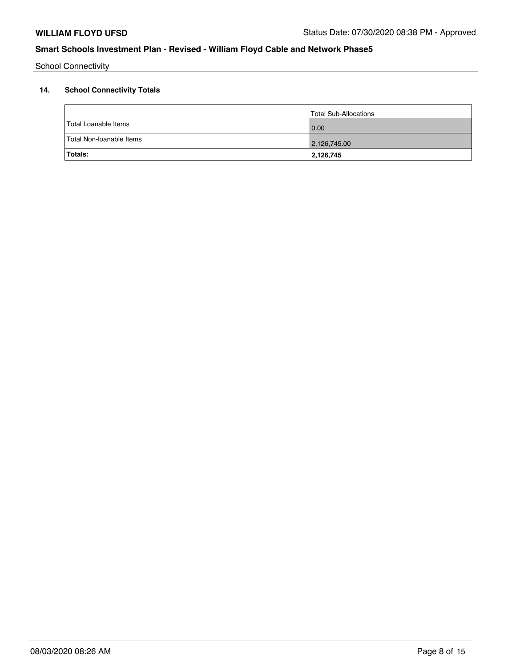School Connectivity

# **14. School Connectivity Totals**

| Totals:                  | 2,126,745             |
|--------------------------|-----------------------|
| Total Non-Ioanable Items | 2,126,745.00          |
| Total Loanable Items     | 0.00                  |
|                          | Total Sub-Allocations |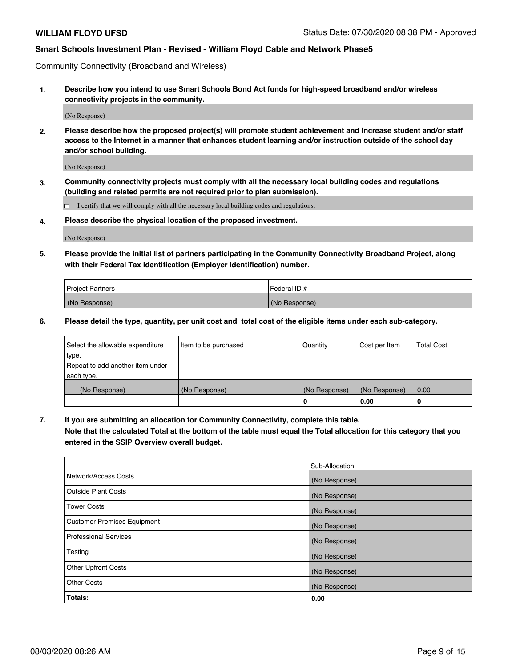Community Connectivity (Broadband and Wireless)

**1. Describe how you intend to use Smart Schools Bond Act funds for high-speed broadband and/or wireless connectivity projects in the community.**

(No Response)

**2. Please describe how the proposed project(s) will promote student achievement and increase student and/or staff access to the Internet in a manner that enhances student learning and/or instruction outside of the school day and/or school building.**

(No Response)

**3. Community connectivity projects must comply with all the necessary local building codes and regulations (building and related permits are not required prior to plan submission).**

 $\Box$  I certify that we will comply with all the necessary local building codes and regulations.

**4. Please describe the physical location of the proposed investment.**

(No Response)

**5. Please provide the initial list of partners participating in the Community Connectivity Broadband Project, along with their Federal Tax Identification (Employer Identification) number.**

| <b>Project Partners</b> | l Federal ID # |
|-------------------------|----------------|
| (No Response)           | (No Response)  |

**6. Please detail the type, quantity, per unit cost and total cost of the eligible items under each sub-category.**

| Select the allowable expenditure | Item to be purchased | Quantity      | Cost per Item | <b>Total Cost</b> |
|----------------------------------|----------------------|---------------|---------------|-------------------|
| type.                            |                      |               |               |                   |
| Repeat to add another item under |                      |               |               |                   |
| each type.                       |                      |               |               |                   |
| (No Response)                    | (No Response)        | (No Response) | (No Response) | 0.00              |
|                                  |                      | o             | 0.00          | 0                 |

**7. If you are submitting an allocation for Community Connectivity, complete this table.**

**Note that the calculated Total at the bottom of the table must equal the Total allocation for this category that you entered in the SSIP Overview overall budget.**

|                                    | Sub-Allocation |
|------------------------------------|----------------|
| Network/Access Costs               | (No Response)  |
| Outside Plant Costs                | (No Response)  |
| <b>Tower Costs</b>                 | (No Response)  |
| <b>Customer Premises Equipment</b> | (No Response)  |
| <b>Professional Services</b>       | (No Response)  |
| Testing                            | (No Response)  |
| <b>Other Upfront Costs</b>         | (No Response)  |
| <b>Other Costs</b>                 | (No Response)  |
| Totals:                            | 0.00           |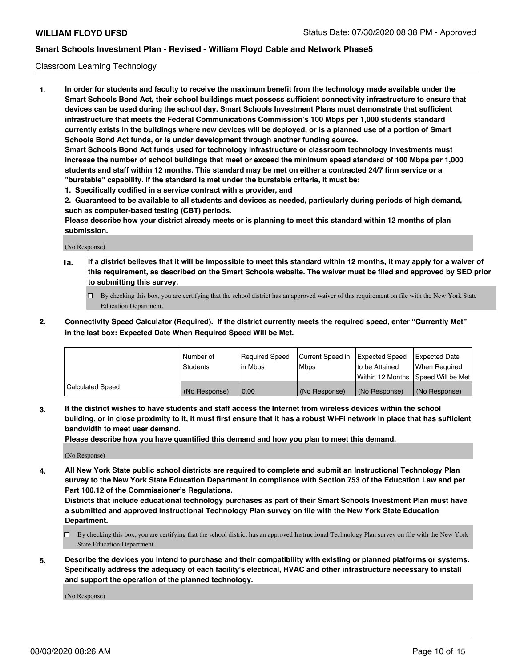#### Classroom Learning Technology

**1. In order for students and faculty to receive the maximum benefit from the technology made available under the Smart Schools Bond Act, their school buildings must possess sufficient connectivity infrastructure to ensure that devices can be used during the school day. Smart Schools Investment Plans must demonstrate that sufficient infrastructure that meets the Federal Communications Commission's 100 Mbps per 1,000 students standard currently exists in the buildings where new devices will be deployed, or is a planned use of a portion of Smart Schools Bond Act funds, or is under development through another funding source. Smart Schools Bond Act funds used for technology infrastructure or classroom technology investments must increase the number of school buildings that meet or exceed the minimum speed standard of 100 Mbps per 1,000 students and staff within 12 months. This standard may be met on either a contracted 24/7 firm service or a "burstable" capability. If the standard is met under the burstable criteria, it must be:**

**1. Specifically codified in a service contract with a provider, and**

**2. Guaranteed to be available to all students and devices as needed, particularly during periods of high demand, such as computer-based testing (CBT) periods.**

**Please describe how your district already meets or is planning to meet this standard within 12 months of plan submission.**

(No Response)

- **1a. If a district believes that it will be impossible to meet this standard within 12 months, it may apply for a waiver of this requirement, as described on the Smart Schools website. The waiver must be filed and approved by SED prior to submitting this survey.**
	- By checking this box, you are certifying that the school district has an approved waiver of this requirement on file with the New York State Education Department.
- **2. Connectivity Speed Calculator (Required). If the district currently meets the required speed, enter "Currently Met" in the last box: Expected Date When Required Speed Will be Met.**

|                  | l Number of   | Required Speed | Current Speed in | <b>Expected Speed</b> | <b>Expected Date</b>                |
|------------------|---------------|----------------|------------------|-----------------------|-------------------------------------|
|                  | Students      | l in Mbps      | l Mbps           | to be Attained        | When Required                       |
|                  |               |                |                  |                       | Within 12 Months  Speed Will be Met |
| Calculated Speed | (No Response) | 0.00           | (No Response)    | (No Response)         | (No Response)                       |

**3. If the district wishes to have students and staff access the Internet from wireless devices within the school building, or in close proximity to it, it must first ensure that it has a robust Wi-Fi network in place that has sufficient bandwidth to meet user demand.**

**Please describe how you have quantified this demand and how you plan to meet this demand.**

(No Response)

**4. All New York State public school districts are required to complete and submit an Instructional Technology Plan survey to the New York State Education Department in compliance with Section 753 of the Education Law and per Part 100.12 of the Commissioner's Regulations.**

**Districts that include educational technology purchases as part of their Smart Schools Investment Plan must have a submitted and approved Instructional Technology Plan survey on file with the New York State Education Department.**

- By checking this box, you are certifying that the school district has an approved Instructional Technology Plan survey on file with the New York State Education Department.
- **5. Describe the devices you intend to purchase and their compatibility with existing or planned platforms or systems. Specifically address the adequacy of each facility's electrical, HVAC and other infrastructure necessary to install and support the operation of the planned technology.**

(No Response)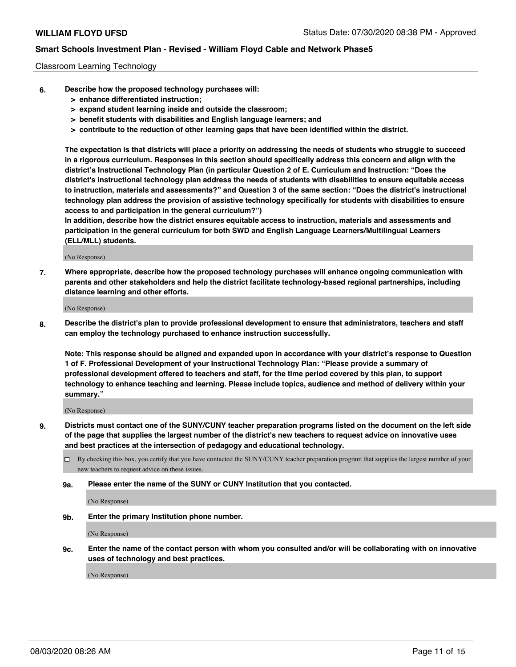#### Classroom Learning Technology

- **6. Describe how the proposed technology purchases will:**
	- **> enhance differentiated instruction;**
	- **> expand student learning inside and outside the classroom;**
	- **> benefit students with disabilities and English language learners; and**
	- **> contribute to the reduction of other learning gaps that have been identified within the district.**

**The expectation is that districts will place a priority on addressing the needs of students who struggle to succeed in a rigorous curriculum. Responses in this section should specifically address this concern and align with the district's Instructional Technology Plan (in particular Question 2 of E. Curriculum and Instruction: "Does the district's instructional technology plan address the needs of students with disabilities to ensure equitable access to instruction, materials and assessments?" and Question 3 of the same section: "Does the district's instructional technology plan address the provision of assistive technology specifically for students with disabilities to ensure access to and participation in the general curriculum?")**

**In addition, describe how the district ensures equitable access to instruction, materials and assessments and participation in the general curriculum for both SWD and English Language Learners/Multilingual Learners (ELL/MLL) students.**

(No Response)

**7. Where appropriate, describe how the proposed technology purchases will enhance ongoing communication with parents and other stakeholders and help the district facilitate technology-based regional partnerships, including distance learning and other efforts.**

(No Response)

**8. Describe the district's plan to provide professional development to ensure that administrators, teachers and staff can employ the technology purchased to enhance instruction successfully.**

**Note: This response should be aligned and expanded upon in accordance with your district's response to Question 1 of F. Professional Development of your Instructional Technology Plan: "Please provide a summary of professional development offered to teachers and staff, for the time period covered by this plan, to support technology to enhance teaching and learning. Please include topics, audience and method of delivery within your summary."**

(No Response)

- **9. Districts must contact one of the SUNY/CUNY teacher preparation programs listed on the document on the left side of the page that supplies the largest number of the district's new teachers to request advice on innovative uses and best practices at the intersection of pedagogy and educational technology.**
	- By checking this box, you certify that you have contacted the SUNY/CUNY teacher preparation program that supplies the largest number of your new teachers to request advice on these issues.
	- **9a. Please enter the name of the SUNY or CUNY Institution that you contacted.**

(No Response)

**9b. Enter the primary Institution phone number.**

(No Response)

**9c. Enter the name of the contact person with whom you consulted and/or will be collaborating with on innovative uses of technology and best practices.**

(No Response)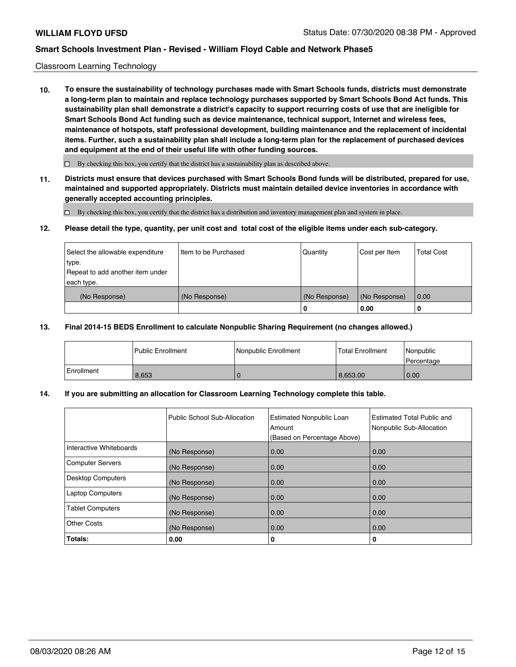#### Classroom Learning Technology

**10. To ensure the sustainability of technology purchases made with Smart Schools funds, districts must demonstrate a long-term plan to maintain and replace technology purchases supported by Smart Schools Bond Act funds. This sustainability plan shall demonstrate a district's capacity to support recurring costs of use that are ineligible for Smart Schools Bond Act funding such as device maintenance, technical support, Internet and wireless fees, maintenance of hotspots, staff professional development, building maintenance and the replacement of incidental items. Further, such a sustainability plan shall include a long-term plan for the replacement of purchased devices and equipment at the end of their useful life with other funding sources.**

 $\square$  By checking this box, you certify that the district has a sustainability plan as described above.

**11. Districts must ensure that devices purchased with Smart Schools Bond funds will be distributed, prepared for use, maintained and supported appropriately. Districts must maintain detailed device inventories in accordance with generally accepted accounting principles.**

By checking this box, you certify that the district has a distribution and inventory management plan and system in place.

#### **12. Please detail the type, quantity, per unit cost and total cost of the eligible items under each sub-category.**

| Select the allowable expenditure<br>type.<br>Repeat to add another item under<br>each type. | Item to be Purchased | Quantity           | Cost per Item         | <b>Total Cost</b> |
|---------------------------------------------------------------------------------------------|----------------------|--------------------|-----------------------|-------------------|
| (No Response)                                                                               | (No Response)        | (No Response)<br>0 | (No Response)<br>0.00 | 0.00              |

#### **13. Final 2014-15 BEDS Enrollment to calculate Nonpublic Sharing Requirement (no changes allowed.)**

|                   | l Public Enrollment | <b>Nonpublic Enrollment</b> | <b>Total Enrollment</b> | Nonpublic<br>l Percentage |
|-------------------|---------------------|-----------------------------|-------------------------|---------------------------|
| <b>Enrollment</b> | 8.653               |                             | 8.653.00                | 0.00                      |

#### **14. If you are submitting an allocation for Classroom Learning Technology complete this table.**

|                         | Public School Sub-Allocation | <b>Estimated Nonpublic Loan</b><br>Amount<br>(Based on Percentage Above) | Estimated Total Public and<br>Nonpublic Sub-Allocation |
|-------------------------|------------------------------|--------------------------------------------------------------------------|--------------------------------------------------------|
| Interactive Whiteboards | (No Response)                | 0.00                                                                     | 0.00                                                   |
| Computer Servers        | (No Response)                | 0.00                                                                     | 0.00                                                   |
| Desktop Computers       | (No Response)                | 0.00                                                                     | 0.00                                                   |
| <b>Laptop Computers</b> | (No Response)                | 0.00                                                                     | 0.00                                                   |
| <b>Tablet Computers</b> | (No Response)                | 0.00                                                                     | 0.00                                                   |
| Other Costs             | (No Response)                | 0.00                                                                     | 0.00                                                   |
| Totals:                 | 0.00                         | 0                                                                        | 0                                                      |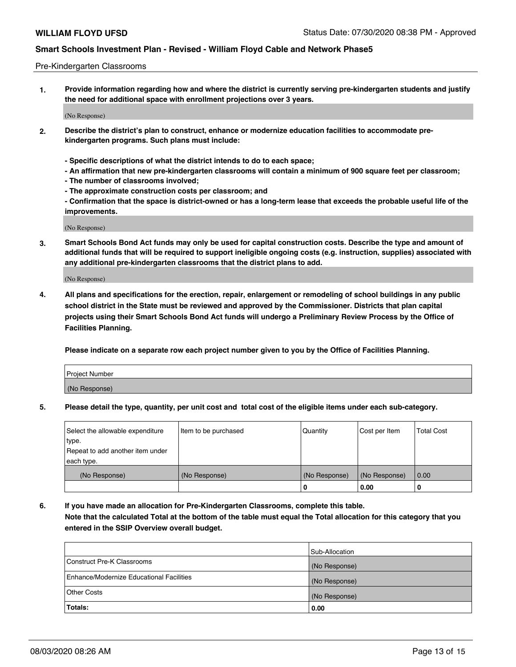#### Pre-Kindergarten Classrooms

**1. Provide information regarding how and where the district is currently serving pre-kindergarten students and justify the need for additional space with enrollment projections over 3 years.**

(No Response)

- **2. Describe the district's plan to construct, enhance or modernize education facilities to accommodate prekindergarten programs. Such plans must include:**
	- **Specific descriptions of what the district intends to do to each space;**
	- **An affirmation that new pre-kindergarten classrooms will contain a minimum of 900 square feet per classroom;**
	- **The number of classrooms involved;**
	- **The approximate construction costs per classroom; and**
	- **Confirmation that the space is district-owned or has a long-term lease that exceeds the probable useful life of the improvements.**

(No Response)

**3. Smart Schools Bond Act funds may only be used for capital construction costs. Describe the type and amount of additional funds that will be required to support ineligible ongoing costs (e.g. instruction, supplies) associated with any additional pre-kindergarten classrooms that the district plans to add.**

(No Response)

**4. All plans and specifications for the erection, repair, enlargement or remodeling of school buildings in any public school district in the State must be reviewed and approved by the Commissioner. Districts that plan capital projects using their Smart Schools Bond Act funds will undergo a Preliminary Review Process by the Office of Facilities Planning.**

**Please indicate on a separate row each project number given to you by the Office of Facilities Planning.**

| Project Number |  |
|----------------|--|
| (No Response)  |  |
|                |  |

**5. Please detail the type, quantity, per unit cost and total cost of the eligible items under each sub-category.**

| Select the allowable expenditure | Item to be purchased | Quantity      | Cost per Item | <b>Total Cost</b> |
|----------------------------------|----------------------|---------------|---------------|-------------------|
| type.                            |                      |               |               |                   |
| Repeat to add another item under |                      |               |               |                   |
| each type.                       |                      |               |               |                   |
| (No Response)                    | (No Response)        | (No Response) | (No Response) | 0.00              |
|                                  |                      | υ             | 0.00          |                   |

**6. If you have made an allocation for Pre-Kindergarten Classrooms, complete this table. Note that the calculated Total at the bottom of the table must equal the Total allocation for this category that you entered in the SSIP Overview overall budget.**

|                                          | Sub-Allocation |
|------------------------------------------|----------------|
| Construct Pre-K Classrooms               | (No Response)  |
| Enhance/Modernize Educational Facilities | (No Response)  |
| <b>Other Costs</b>                       | (No Response)  |
| Totals:                                  | 0.00           |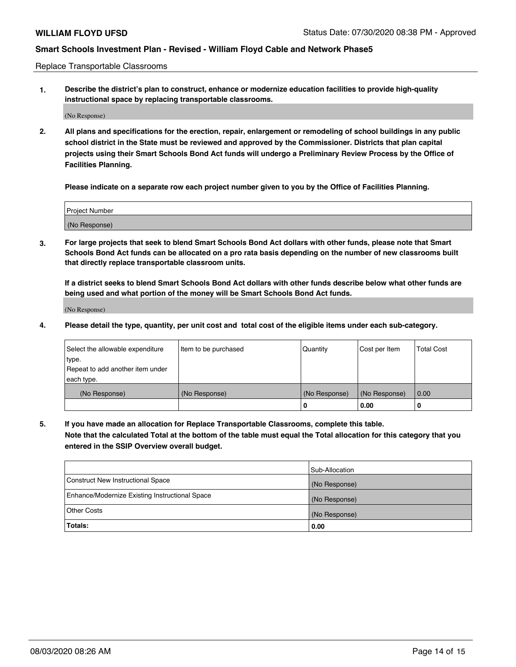Replace Transportable Classrooms

**1. Describe the district's plan to construct, enhance or modernize education facilities to provide high-quality instructional space by replacing transportable classrooms.**

(No Response)

**2. All plans and specifications for the erection, repair, enlargement or remodeling of school buildings in any public school district in the State must be reviewed and approved by the Commissioner. Districts that plan capital projects using their Smart Schools Bond Act funds will undergo a Preliminary Review Process by the Office of Facilities Planning.**

**Please indicate on a separate row each project number given to you by the Office of Facilities Planning.**

| Project Number |  |
|----------------|--|
|                |  |
|                |  |
| (No Response)  |  |
|                |  |

**3. For large projects that seek to blend Smart Schools Bond Act dollars with other funds, please note that Smart Schools Bond Act funds can be allocated on a pro rata basis depending on the number of new classrooms built that directly replace transportable classroom units.**

**If a district seeks to blend Smart Schools Bond Act dollars with other funds describe below what other funds are being used and what portion of the money will be Smart Schools Bond Act funds.**

(No Response)

**4. Please detail the type, quantity, per unit cost and total cost of the eligible items under each sub-category.**

| Select the allowable expenditure<br>∣type.<br>Repeat to add another item under | Item to be purchased | Quantity      | Cost per Item | <b>Total Cost</b> |
|--------------------------------------------------------------------------------|----------------------|---------------|---------------|-------------------|
| each type.<br>(No Response)                                                    | (No Response)        | (No Response) | (No Response) | 0.00              |
|                                                                                |                      | u             | 0.00          | 0                 |

**5. If you have made an allocation for Replace Transportable Classrooms, complete this table. Note that the calculated Total at the bottom of the table must equal the Total allocation for this category that you entered in the SSIP Overview overall budget.**

|                                                | Sub-Allocation |
|------------------------------------------------|----------------|
| Construct New Instructional Space              | (No Response)  |
| Enhance/Modernize Existing Instructional Space | (No Response)  |
| Other Costs                                    | (No Response)  |
| Totals:                                        | 0.00           |